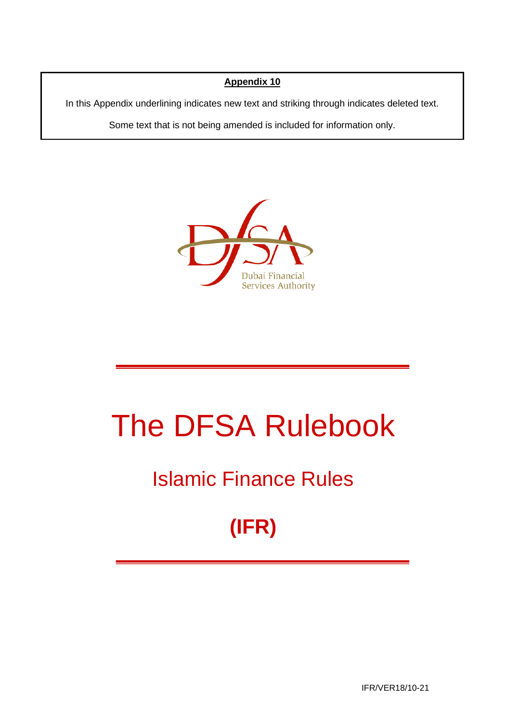### **Appendix 10**

In this Appendix underlining indicates new text and striking through indicates deleted text.

Some text that is not being amended is included for information only.



# The DFSA Rulebook

# Islamic Finance Rules

# **(IFR)**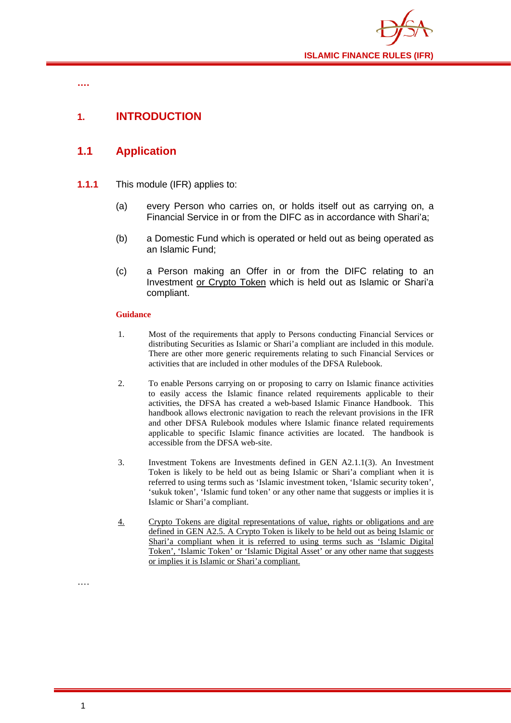

**….**

# **1. INTRODUCTION**

# **1.1 Application**

- **1.1.1** This module (IFR) applies to:
	- (a) every Person who carries on, or holds itself out as carrying on, a Financial Service in or from the DIFC as in accordance with Shari'a;
	- (b) a Domestic Fund which is operated or held out as being operated as an Islamic Fund;
	- (c) a Person making an Offer in or from the DIFC relating to an Investment or Crypto Token which is held out as Islamic or Shari'a compliant.

#### **Guidance**

- 1. Most of the requirements that apply to Persons conducting Financial Services or distributing Securities as Islamic or Shari'a compliant are included in this module. There are other more generic requirements relating to such Financial Services or activities that are included in other modules of the DFSA Rulebook.
- 2. To enable Persons carrying on or proposing to carry on Islamic finance activities to easily access the Islamic finance related requirements applicable to their activities, the DFSA has created a web-based Islamic Finance Handbook. This handbook allows electronic navigation to reach the relevant provisions in the IFR and other DFSA Rulebook modules where Islamic finance related requirements applicable to specific Islamic finance activities are located. The handbook is accessible from the DFSA web-site.
- 3. Investment Tokens are Investments defined in GEN A2.1.1(3). An Investment Token is likely to be held out as being Islamic or Shari'a compliant when it is referred to using terms such as 'Islamic investment token, 'Islamic security token', 'sukuk token', 'Islamic fund token' or any other name that suggests or implies it is Islamic or Shari'a compliant.
- 4. Crypto Tokens are digital representations of value, rights or obligations and are defined in GEN A2.5. A Crypto Token is likely to be held out as being Islamic or Shari'a compliant when it is referred to using terms such as 'Islamic Digital Token', 'Islamic Token' or 'Islamic Digital Asset' or any other name that suggests or implies it is Islamic or Shari'a compliant.

….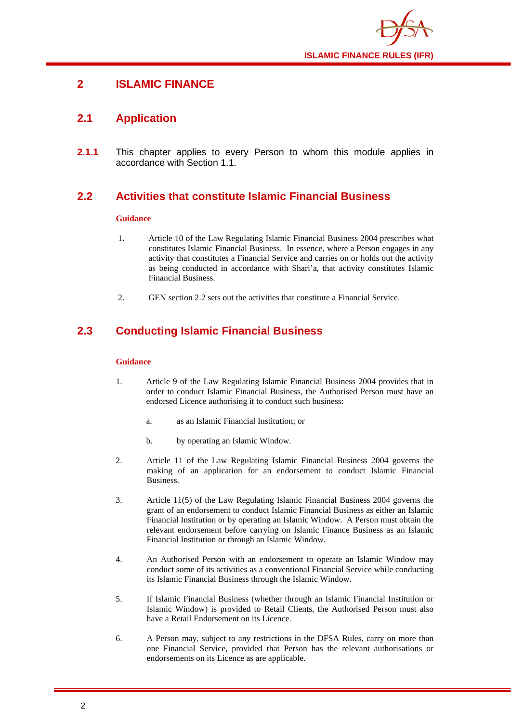

## **2 ISLAMIC FINANCE**

## **2.1 Application**

**2.1.1** This chapter applies to every Person to whom this module applies in accordance with Section 1.1.

# **2.2 Activities that constitute Islamic Financial Business**

#### **Guidance**

- 1. Article 10 of the Law Regulating Islamic Financial Business 2004 prescribes what constitutes Islamic Financial Business. In essence, where a Person engages in any activity that constitutes a Financial Service and carries on or holds out the activity as being conducted in accordance with Shari'a, that activity constitutes Islamic Financial Business.
- 2. GEN section 2.2 sets out the activities that constitute a Financial Service.

# **2.3 Conducting Islamic Financial Business**

#### **Guidance**

- 1. Article 9 of the Law Regulating Islamic Financial Business 2004 provides that in order to conduct Islamic Financial Business, the Authorised Person must have an endorsed Licence authorising it to conduct such business:
	- a. as an Islamic Financial Institution; or
	- b. by operating an Islamic Window.
- 2. Article 11 of the Law Regulating Islamic Financial Business 2004 governs the making of an application for an endorsement to conduct Islamic Financial Business.
- 3. Article 11(5) of the Law Regulating Islamic Financial Business 2004 governs the grant of an endorsement to conduct Islamic Financial Business as either an Islamic Financial Institution or by operating an Islamic Window. A Person must obtain the relevant endorsement before carrying on Islamic Finance Business as an Islamic Financial Institution or through an Islamic Window.
- 4. An Authorised Person with an endorsement to operate an Islamic Window may conduct some of its activities as a conventional Financial Service while conducting its Islamic Financial Business through the Islamic Window.
- 5. If Islamic Financial Business (whether through an Islamic Financial Institution or Islamic Window) is provided to Retail Clients, the Authorised Person must also have a Retail Endorsement on its Licence.
- 6. A Person may, subject to any restrictions in the DFSA Rules, carry on more than one Financial Service, provided that Person has the relevant authorisations or endorsements on its Licence as are applicable.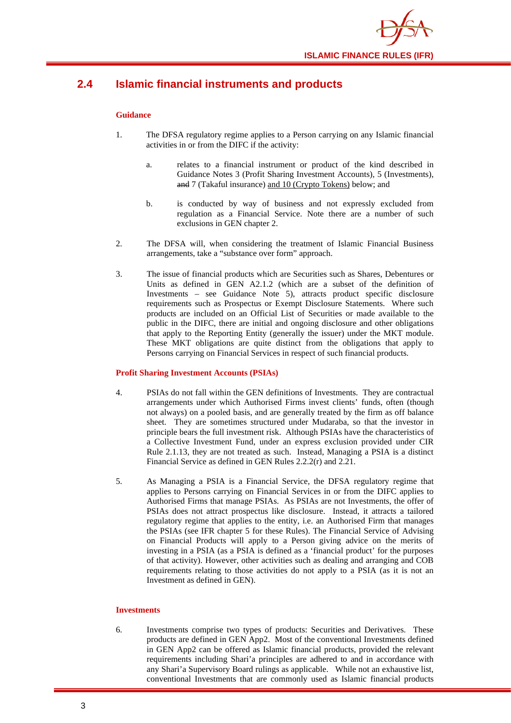# **2.4 Islamic financial instruments and products**

#### **Guidance**

- 1. The DFSA regulatory regime applies to a Person carrying on any Islamic financial activities in or from the DIFC if the activity:
	- a. relates to a financial instrument or product of the kind described in Guidance Notes 3 (Profit Sharing Investment Accounts), 5 (Investments), and 7 (Takaful insurance) and 10 (Crypto Tokens) below; and
	- b. is conducted by way of business and not expressly excluded from regulation as a Financial Service. Note there are a number of such exclusions in GEN chapter 2.
- 2. The DFSA will, when considering the treatment of Islamic Financial Business arrangements, take a "substance over form" approach.
- 3. The issue of financial products which are Securities such as Shares, Debentures or Units as defined in GEN A2.1.2 (which are a subset of the definition of Investments – see Guidance Note 5), attracts product specific disclosure requirements such as Prospectus or Exempt Disclosure Statements. Where such products are included on an Official List of Securities or made available to the public in the DIFC, there are initial and ongoing disclosure and other obligations that apply to the Reporting Entity (generally the issuer) under the MKT module. These MKT obligations are quite distinct from the obligations that apply to Persons carrying on Financial Services in respect of such financial products.

#### **Profit Sharing Investment Accounts (PSIAs)**

- 4. PSIAs do not fall within the GEN definitions of Investments. They are contractual arrangements under which Authorised Firms invest clients' funds, often (though not always) on a pooled basis, and are generally treated by the firm as off balance sheet. They are sometimes structured under Mudaraba, so that the investor in principle bears the full investment risk. Although PSIAs have the characteristics of a Collective Investment Fund, under an express exclusion provided under CIR Rule 2.1.13, they are not treated as such. Instead, Managing a PSIA is a distinct Financial Service as defined in GEN Rules 2.2.2(r) and 2.21.
- 5. As Managing a PSIA is a Financial Service, the DFSA regulatory regime that applies to Persons carrying on Financial Services in or from the DIFC applies to Authorised Firms that manage PSIAs. As PSIAs are not Investments, the offer of PSIAs does not attract prospectus like disclosure. Instead, it attracts a tailored regulatory regime that applies to the entity, i.e. an Authorised Firm that manages the PSIAs (see IFR chapter 5 for these Rules). The Financial Service of Advising on Financial Products will apply to a Person giving advice on the merits of investing in a PSIA (as a PSIA is defined as a 'financial product' for the purposes of that activity). However, other activities such as dealing and arranging and COB requirements relating to those activities do not apply to a PSIA (as it is not an Investment as defined in GEN).

#### **Investments**

6. Investments comprise two types of products: Securities and Derivatives. These products are defined in GEN App2. Most of the conventional Investments defined in GEN App2 can be offered as Islamic financial products, provided the relevant requirements including Shari'a principles are adhered to and in accordance with any Shari'a Supervisory Board rulings as applicable. While not an exhaustive list, conventional Investments that are commonly used as Islamic financial products